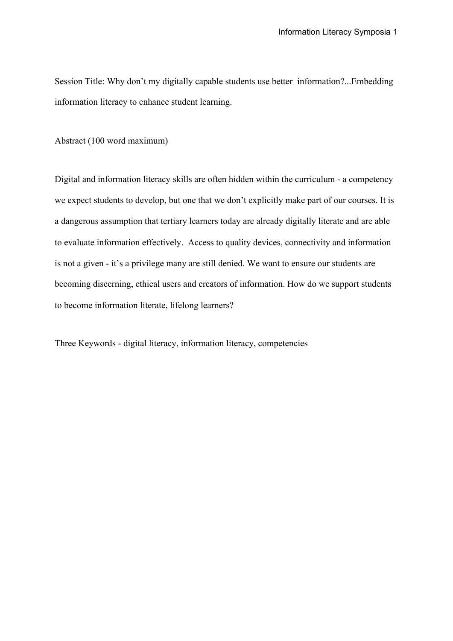Session Title: Why don't my digitally capable students use better information?...Embedding information literacy to enhance student learning.

Abstract (100 word maximum)

Digital and information literacy skills are often hidden within the curriculum - a competency we expect students to develop, but one that we don't explicitly make part of our courses. It is a dangerous assumption that tertiary learners today are already digitally literate and are able to evaluate information effectively. Access to quality devices, connectivity and information is not a given - it's a privilege many are still denied. We want to ensure our students are becoming discerning, ethical users and creators of information. How do we support students to become information literate, lifelong learners?

Three Keywords - digital literacy, information literacy, competencies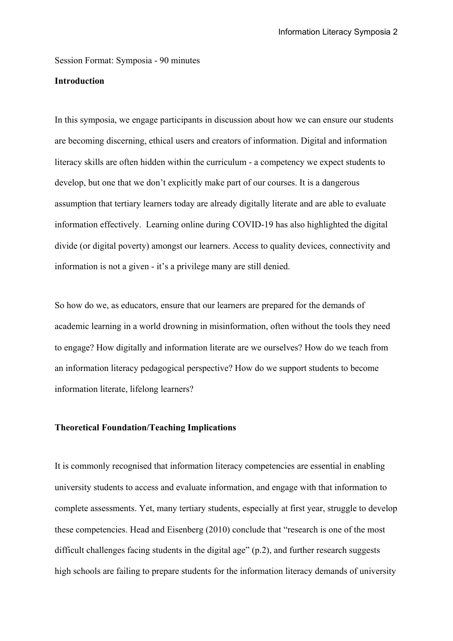Session Format: Symposia - 90 minutes

## **Introduction**

In this symposia, we engage participants in discussion about how we can ensure our students are becoming discerning, ethical users and creators of information. Digital and information literacy skills are often hidden within the curriculum - a competency we expect students to develop, but one that we don't explicitly make part of our courses. It is a dangerous assumption that tertiary learners today are already digitally literate and are able to evaluate information effectively. Learning online during COVID-19 has also highlighted the digital divide (or digital poverty) amongst our learners. Access to quality devices, connectivity and information is not a given - it's a privilege many are still denied.

So how do we, as educators, ensure that our learners are prepared for the demands of academic learning in a world drowning in misinformation, often without the tools they need to engage? How digitally and information literate are we ourselves? How do we teach from an information literacy pedagogical perspective? How do we support students to become information literate, lifelong learners?

## **Theoretical Foundation/Teaching Implications**

It is commonly recognised that information literacy competencies are essential in enabling university students to access and evaluate information, and engage with that information to complete assessments. Yet, many tertiary students, especially at first year, struggle to develop these competencies. Head and Eisenberg (2010) conclude that "research is one of the most difficult challenges facing students in the digital age" (p.2), and further research suggests high schools are failing to prepare students for the information literacy demands of university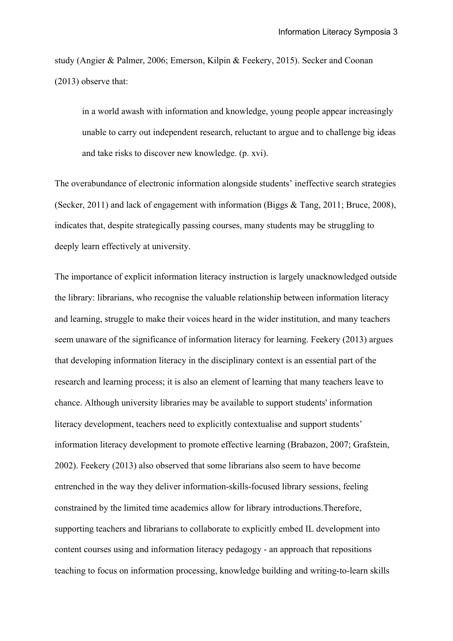study (Angier & Palmer, 2006; Emerson, Kilpin & Feekery, 2015). Secker and Coonan (2013) observe that:

in a world awash with information and knowledge, young people appear increasingly unable to carry out independent research, reluctant to argue and to challenge big ideas and take risks to discover new knowledge. (p. xvi).

The overabundance of electronic information alongside students' ineffective search strategies (Secker, 2011) and lack of engagement with information (Biggs  $\&$  Tang, 2011; Bruce, 2008), indicates that, despite strategically passing courses, many students may be struggling to deeply learn effectively at university.

The importance of explicit information literacy instruction is largely unacknowledged outside the library: librarians, who recognise the valuable relationship between information literacy and learning, struggle to make their voices heard in the wider institution, and many teachers seem unaware of the significance of information literacy for learning. Feekery (2013) argues that developing information literacy in the disciplinary context is an essential part of the research and learning process; it is also an element of learning that many teachers leave to chance. Although university libraries may be available to support students' information literacy development, teachers need to explicitly contextualise and support students' information literacy development to promote effective learning (Brabazon, 2007; Grafstein, 2002). Feekery (2013) also observed that some librarians also seem to have become entrenched in the way they deliver information-skills-focused library sessions, feeling constrained by the limited time academics allow for library introductions.Therefore, supporting teachers and librarians to collaborate to explicitly embed IL development into content courses using and information literacy pedagogy - an approach that repositions teaching to focus on information processing, knowledge building and writing-to-learn skills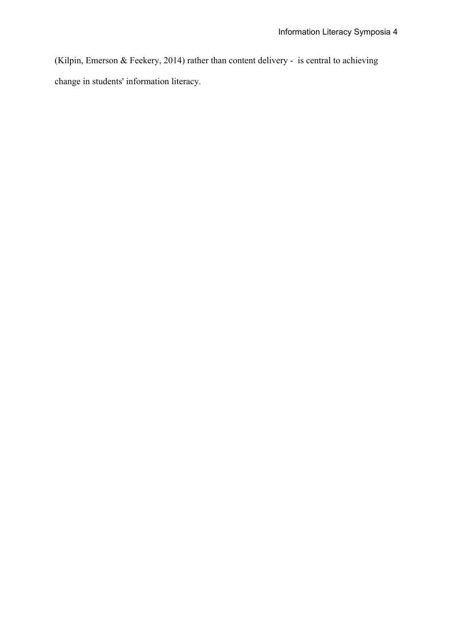(Kilpin, Emerson & Feekery, 2014) rather than content delivery - is central to achieving change in students' information literacy.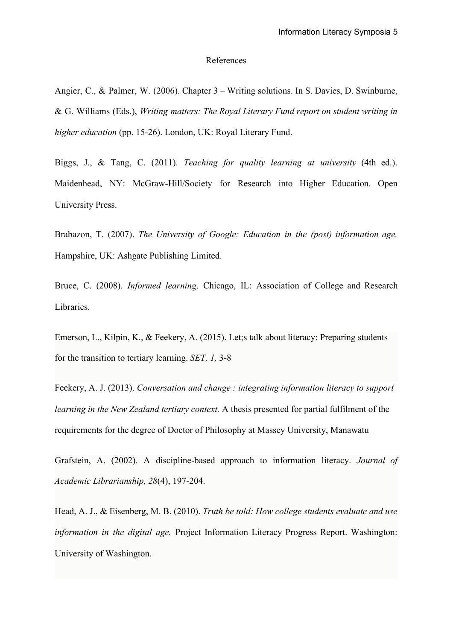#### References

Angier, C., & Palmer, W. (2006). Chapter 3 – Writing solutions. In S. Davies, D. Swinburne, & G. Williams (Eds.), *Writing matters: The Royal Literary Fund report on student writing in higher education* (pp. 15-26). London, UK: Royal Literary Fund.

Biggs, J., & Tang, C. (2011). *Teaching for quality learning at university* (4th ed.). Maidenhead, NY: McGraw-Hill/Society for Research into Higher Education. Open University Press.

Brabazon, T. (2007). *The University of Google: Education in the (post) information age.* Hampshire, UK: Ashgate Publishing Limited.

Bruce, C. (2008). *Informed learning*. Chicago, IL: Association of College and Research Libraries.

Emerson, L., Kilpin, K., & Feekery, A. (2015). Let;s talk about literacy: Preparing students for the transition to tertiary learning. *SET, 1,* 3-8

Feekery, A. J. (2013). *Conversation and change : integrating information literacy to support learning in the New Zealand tertiary context.* A thesis presented for partial fulfilment of the requirements for the degree of Doctor of Philosophy at Massey University, Manawatu

Grafstein, A. (2002). A discipline-based approach to information literacy. *Journal of Academic Librarianship, 28*(4), 197-204.

Head, A. J., & Eisenberg, M. B. (2010). *Truth be told: How college students evaluate and use information in the digital age.* Project Information Literacy Progress Report. Washington: University of Washington.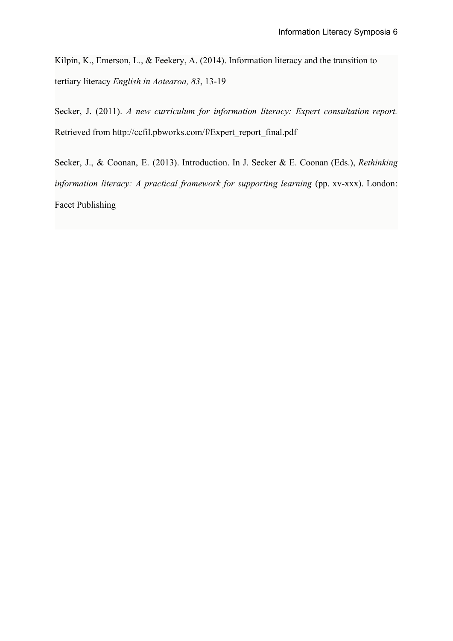Kilpin, K., Emerson, L., & Feekery, A. (2014). Information literacy and the transition to tertiary literacy *English in Aotearoa, 83*, 13-19

Secker, J. (2011). *A new curriculum for information literacy: Expert consultation report.* Retrieved from http://ccfil.pbworks.com/f/Expert\_report\_final.pdf

Secker, J., & Coonan, E. (2013). Introduction. In J. Secker & E. Coonan (Eds.), *Rethinking information literacy: A practical framework for supporting learning* (pp. xv-xxx). London: Facet Publishing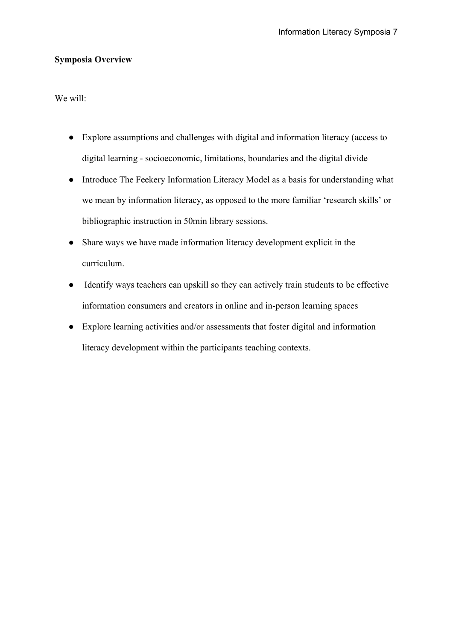# **Symposia Overview**

We will:

- Explore assumptions and challenges with digital and information literacy (access to digital learning - socioeconomic, limitations, boundaries and the digital divide
- Introduce The Feekery Information Literacy Model as a basis for understanding what we mean by information literacy, as opposed to the more familiar 'research skills' or bibliographic instruction in 50min library sessions.
- Share ways we have made information literacy development explicit in the curriculum.
- Identify ways teachers can upskill so they can actively train students to be effective information consumers and creators in online and in-person learning spaces
- Explore learning activities and/or assessments that foster digital and information literacy development within the participants teaching contexts.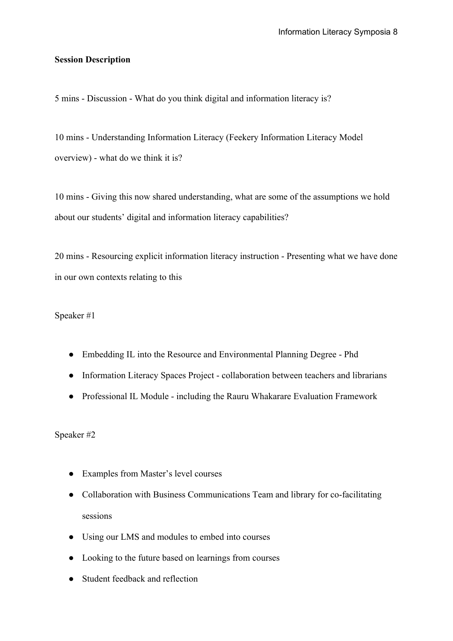## **Session Description**

5 mins - Discussion - What do you think digital and information literacy is?

10 mins - Understanding Information Literacy (Feekery Information Literacy Model overview) - what do we think it is?

10 mins - Giving this now shared understanding, what are some of the assumptions we hold about our students' digital and information literacy capabilities?

20 mins - Resourcing explicit information literacy instruction - Presenting what we have done in our own contexts relating to this

Speaker #1

- Embedding IL into the Resource and Environmental Planning Degree Phd
- Information Literacy Spaces Project collaboration between teachers and librarians
- Professional IL Module including the Rauru Whakarare Evaluation Framework

Speaker #2

- Examples from Master's level courses
- Collaboration with Business Communications Team and library for co-facilitating sessions
- Using our LMS and modules to embed into courses
- Looking to the future based on learnings from courses
- Student feedback and reflection